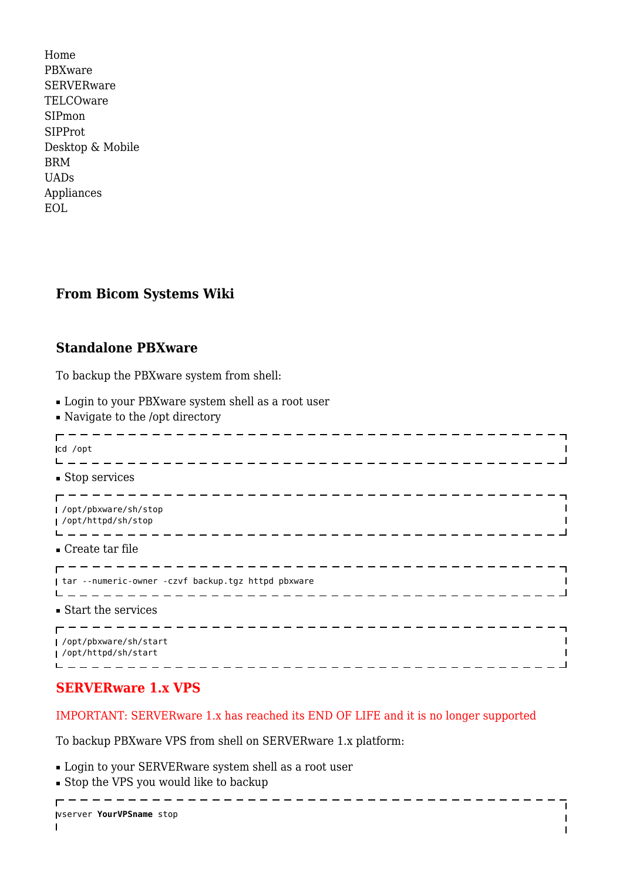[Home](http://wiki.bicomsystems.com/Main_Page) [PBXware](http://wiki.bicomsystems.com/PBXware) **[SERVERware](http://wiki.bicomsystems.com/SERVERware) [TELCOware](http://wiki.bicomsystems.com/TELCOware)** [SIPmon](http://wiki.bicomsystems.com/SIPmon) [SIPProt](http://wiki.bicomsystems.com/SIPProt) [Desktop & Mobile](http://wiki.bicomsystems.com/Desktop_and_Mobile) [BRM](http://wiki.bicomsystems.com/BRM) [UADs](http://wiki.bicomsystems.com/UADs) [Appliances](http://wiki.bicomsystems.com/Appliances) [EOL](http://wiki.bicomsystems.com/EOL)

## **From Bicom Systems Wiki**

## **Standalone PBXware**

To backup the PBXware system from shell:

■ Login to your PBXware system shell as a root user

| • Navigate to the /opt directory                                                                         |
|----------------------------------------------------------------------------------------------------------|
| Icd /opt<br>• Stop services                                                                              |
| /opt/pbxware/sh/stop<br>  /opt/httpd/sh/stop<br>____________                                             |
| $\blacksquare$ Create tar file                                                                           |
| I tar --numeric-owner -czvf backup.tgz httpd pbxware<br>________________________<br>• Start the services |
| /opt/pbxware/sh/start<br>  /opt/httpd/sh/start                                                           |

## **SERVERware 1.x VPS**

IMPORTANT: SERVERware 1.x has reached its END OF LIFE and it is no longer supported

ī  $\overline{1}$ 

 $\mathsf I$ 

To backup PBXware VPS from shell on SERVERware 1.x platform:

- Login to your SERVERware system shell as a root user
- Stop the VPS you would like to backup

```
vserver YourVPSname stop\mathbf{I}
```